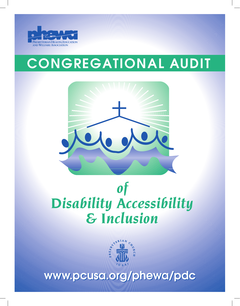

# CONGREGATIONAL AUDIT



# *of Disability Accessibility & Inclusion*



www.pcusa.org/phewa/pdc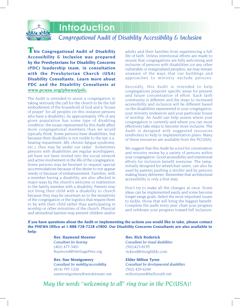

# Introduction

# *Congregational Audit of Disability Accessibility & Inclusion*

**This Congregational Audit of Disability Accessibility & Inclusion was prepared by the Presbyterians for Disability Concerns (PDC) leadership team, in consultation with the Presbyterian Church (USA) Disability Consultants. Learn more about PDC and the Disability Consultants at www.pcusa.org/phewa/pdc.**

The Audit is intended to assist a congregation in taking seriously the call for the church to be the full embodiment of the household of God and a "house of prayer" for all peoples (in this instance persons who have a disability). As approximately 19% of any given population has some type of disabling condition, the issues represented by this Audit affect more congregational members than we would typically think. Some persons have disabilities, but because their disability is not visible to the eye (i.e. hearing impairment, MS, chronic fatigue syndrome, etc.), they may be under our radar. Sometimes persons with disabilities are regular worshippers, yet have not been invited into the social network and active involvement in the life of the congregation. Some persons may be hesitant to request special accommodations because of the desire to not appear needy or because of embarrassment. Families, with a member having a disability, are also affected in major ways by the church's welcome or inattention to the family member with a disability. Parents may not bring their child with a disability to church because they may be uncertain as to the receptivity of the congregation or the logistics that require them to be with their child rather than participating in worship or other ministries of the church. Physical and attitudinal barriers may prevent children and/or

adults and their families from experiencing a full life of faith. Unless intentional efforts are made to ensure that congregations are fully welcoming and inclusive of persons with disabilities (or any other vulnerable or marginalized peoples), we may remain unaware of the ways that our buildings and approaches to ministry exclude persons.

Secondly, this Audit is intended to help congregations pinpoint specific areas for present and future concentration of effort. Each faith community is different and the steps to increased accessibility and inclusion will be different based on the disabilities represented in your congregation, your ministry endeavors and your particular house of worship. An Audit can help assess where your congregation is currently and where you can most effectively take steps to become more inclusive. The Audit is designed with suggested resources (endnotes) to help in implementation plans. Many of these resources are available from the PC(USA).

We suggest that this Audit be a tool for conversation and ministry review by a variety of persons within your congregation. Good accessibility and intentional efforts for inclusion benefit everyone. The ramp, initially designed for wheelchair users, can also be used by parents pushing a stroller and by persons making heavy deliveries. Remember that architectural accessibility is only a first step.

Don't try to make all the changes at once. Some ideas can be implemented easily and some become longer-range goals. Select the most important issues to tackle, those that will bring the biggest benefit. Complete the audit every year, chart your progress and celebrate your progress toward full inclusion.

**If you have questions about the Audit or implementing the actions you would like to take, please contact the PHEWA Office at 1-888-728-7228 x5800. Our Disability Concerns Consultants are also available to help:**

> **Rev. Raymond Meester** *Consultant for hearing* (402) 477-3401 Raymond@HeritagePres.org

**Rev. Sue Montgomery** *Consultant for mobility/accessibility* (814) 797-1226 suemontgomery@windstream.net **Rev. Rick Roderick** *Consultant for visual disabilities* (502)423-8195 rickrod@insightbb.com

**Elder Milton Tyree** *Consultant for developmental disabilities* (502) 429-6244 miltontyree@bellsouth.net

*May the words "welcoming to all" ring true in the PC(USA)!*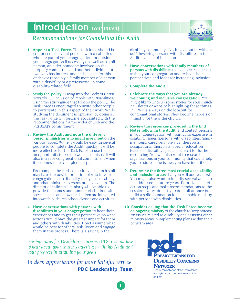# Introduction *(continued)*



# *Recommendations for Completing this Audit:*

- **1. Appoint a Task Force.** This task force should be comprised of several persons with disabilities who are part of your congregation (or outside your congregation if necessary), as well as a staff person, an elder, someone involved on the property committee, and another individual or two who has interest and enthusiasm for this endeavor (possibly a family member of a person with a disability or a professional in some disability-related field).
- **2. Study the policy,** "Living Into the Body of Christ: Towards Full Inclusion of People with Disabilities," using the study guide that follows the policy. The Task Force is encouraged to invite other people to participate in this aspect of their work. While studying the document is optional, by doing so, the Task Force will become acquainted with the recommendations for the wider church and the PC(USA)'s commitment.
- **3. Review the Audit and note the different persons/ministries who might give input** on the various issues. While it would be easy for several people to complete the Audit quickly, it will be more effective for the Task Force to use this as an opportunity to see the work as ministry. It will also increase congregational commitment when it becomes time to implement plans.

For example, the clerk of session and church staff may have the best information of who in your congregation has a disability, the type of disability, and what ministries persons are involved in. The director of children's ministry will be able to provide the names and number of children with special needs and how the children are integrated into worship, church school classes and activities.

**4. Have conversations with persons with disabilities in your congregation** to hear their experiences and to get their perspective on what actions would have the greatest impact for them and others with disabilities. Don't assume what would be best for others. Ask, listen and engage them in this process. There is a saying in the

*Presbyterians for Disability Concerns (PDC) would love to hear about your church's experience with this Audit and your progress in attaining your goals.*

*In deep appreciation for your faithful service,*  **PDC Leadership Team**

1

disability community, "Nothing about us without us!" Involving persons with disabilities in this Audit is an act of inclusion.

- **5. Have conversations with family members of persons with disabilities** to hear their experiences within your congregation and to hear their perspectives and ideas for increasing inclusion.
- **6. Complete the audit.**
- **7. Celebrate the ways that you are already welcoming and inclusive congregation**. You might like to write up some stories for your church newsletter or website highlighting these things. PHEWA is always on the lookout for congregational stories. They become models of ministry for the wider church.
- **8. Review the resources provided in the End Notes following the Audit**, and contact persons in your congregation with particular expertise in disability issues (persons with disabilities, family members, caregivers, physical therapists, occupational therapists, special education teachers, disability specialists, etc.) for further resourcing. You will also want to research organizations in your community that could help you to address the issues you have identified.
- **9. Determine the three most crucial accessibility and inclusion areas** that you will address first. You might also want to identify several areas to be addressed in future years. Prioritize a list of action steps and make recommendations to the session. Note: don't try to do it all at once but build a solid foundation for sustainable ministry with persons with disabilities.
- **10. Consider asking that the Task Force become an ongoing ministry** of the church to keep abreast on issues related to disability and assisting other ministry areas in implementing plans within their program area.

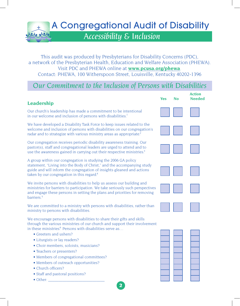

This audit was produced by Presbyterians for Disability Concerns (PDC), a network of the Presbyterian Health, Education and Welfare Association (PHEWA). Visit PDC and PHEWA online at **www.pcusa.org/phewa**. Contact: PHEWA, 100 Witherspoon Street, Louisville, Kentucky 40202-1396

# *Our Commitment to the Inclusion of Persons with Disabilities*

### **Leadership**

Our church's leadership has made a commitment to be intentional in our welcome and inclusion of persons with disabilities.<sup>1</sup>

We have developed a Disability Task Force to keep issues related to the welcome and inclusion of persons with disabilities on our congregation's radar and to strategize with various ministry areas as appropriate.<sup>2</sup>

Our congregation receives periodic disability awareness training. Our pastor(s), staff and congregational leaders are urged to attend and to use the awareness gained in carrying out their respective ministries.<sup>3</sup>

A group within our congregation is studying the 2006 GA policy statement, "Living into the Body of Christ," and the accompanying study guide and will inform the congregation of insights gleaned and actions taken by our congregation in this regard.<sup>4</sup>

We invite persons with disabilities to help us assess our building and ministries for barriers to participation. We take seriously such perspectives and engage these persons in setting the plans and priorities for removing barriers. 5

We are committed to a ministry with persons with disabilities, rather than ministry to persons with disabilities.

We encourage persons with disabilities to share their gifts and skills through the various ministries of our church and support their involvement in these ministries.<sup>6</sup> Persons with disabilities serve as...

2

- Greeters and ushers?
- Liturgists or lay readers?
- Choir members, soloists, musicians?
- Teachers or presenters?
- Members of congregational committees?
- Members of outreach opportunities?
- Church officers?
- Staff and pastoral positions?
- Other:

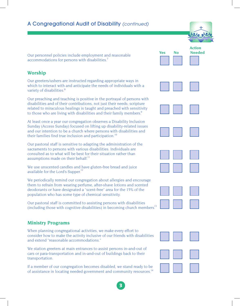Our personnel policies include employment and reasonable accommodations for persons with disabilities.<sup>7</sup>

#### **Worship**

Our greeters/ushers are instructed regarding appropriate ways in which to interact with and anticipate the needs of individuals with a variety of disabilities.<sup>8</sup>

Our preaching and teaching is positive in the portrayal of persons with disabilities and of their contributions, not just their needs; scripture related to miraculous healings is taught and preached with sensitivity to those who are living with disabilities and their family members.<sup>9</sup>

At least once a year our congregation observes a Disability Inclusion Sunday (Access Sunday) focused on lifting up disability-related issues and our intention to be a church where persons with disabilities and their families find true inclusion and participation.<sup>10</sup>

Our pastoral staff is sensitive to adapting the administration of the sacraments to persons with various disabilities. Individuals are consulted as to what will be best for their situation rather than assumptions made on their behalf.<sup>11</sup>

We use unscented candles and have gluten-free bread and juice available for the Lord's Supper.<sup>12</sup>

We periodically remind our congregation about allergies and encourage them to refrain from wearing perfume, after-shave lotions and scented deodorants or have designated a "scent-free" area for the 15% of the population who has some type of chemical sensitivity.

Our pastoral staff is committed to assisting persons with disabilities (including those with cognitive disabilities) in becoming church members.<sup>13</sup>

#### **Ministry Programs**

When planning congregational activities, we make every effort to consider how to make the activity inclusive of our friends with disabilities and extend "reasonable accommodations."

We station greeters at main entrances to assist persons in-and-out of cars or para-transportation and in-and-out of buildings back to their transportation.

If a member of our congregation becomes disabled, we stand ready to be of assistance in locating needed government and community resources.<sup>14</sup>

















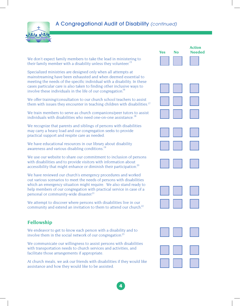

We don't expect family members to take the lead in ministering to their family member with a disability unless they volunteer.<sup>15</sup>

Specialized ministries are designed only when all attempts at mainstreaming have been exhausted and when deemed essential to meeting the needs of the specific individual with a disability. In these cases particular care is also taken to finding other inclusive ways to involve these individuals in the life of our congregation.<sup>16</sup>

We offer training/consultation to our church school teachers to assist them with issues they encounter in teaching children with disabilities.<sup>17</sup>

We train members to serve as church companions/peer tutors to assist individuals with disabilities who need one-on-one assistance.<sup>18</sup>

We recognize that parents and siblings of persons with disabilities may carry a heavy load and our congregation seeks to provide practical support and respite care as needed.

We have educational resources in our library about disability awareness and various disabling conditions.<sup>19</sup>

We use our website to share our commitment to inclusion of persons with disabilities and to provide visitors with information about accessibility that might enhance or diminish their participation.<sup>20</sup>

We have reviewed our church's emergency procedures and worked out various scenarios to meet the needs of persons with disabilities which an emergency situation might require. We also stand ready to help members of our congregation with practical service in case of a personal or community-wide disaster.<sup>21</sup>

We attempt to discover where persons with disabilities live in our community and extend an invitation to them to attend our church.<sup>22</sup>

### **Fellowship**

We endeavor to get to know each person with a disability and to involve them in the social network of our congregation.<sup>23</sup>

We communicate our willingness to assist persons with disabilities with transportation needs to church services and activities, and facilitate those arrangements if appropriate.

At church meals, we ask our friends with disabilities if they would like assistance and how they would like to be assisted.















4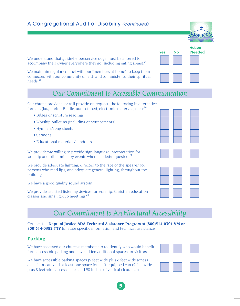We understand that guide/helper/service dogs must be allowed to accompany their owner everywhere they go (including eating areas).<sup>24</sup>

We maintain regular contact with our "members at home" to keep them connected with our community of faith and to minister to their spiritual needs. 25

# *Our Commitment to Accessible Communication*

*Action* 

Our church provides, or will provide on request, the following in alternative formats (large print, Braille, audio-taped, electronic materials, etc.): 26

- Bibles or scripture readings
- Worship bulletins (including announcements)
- Hymnals/song sheets
- Sermons
- Educational materials/handouts

We provide/are willing to provide sign-language interpretation for worship and other ministry events when needed/requested.<sup>27</sup>

We provide adequate lighting, directed to the face of the speaker, for persons who read lips, and adequate general lighting, throughout the building.

We have a good quality sound system.

We provide assisted listening devices for worship, Christian education classes and small group meetings.<sup>28</sup>

# *Our Commitment to Architectural Accessibility*

5

Contact the **Dept. of Justice ADA Technical Assistance Program** at **(800)514-0301 VM or 800)514-0383 TTY** for state specific information and technical assistance.

### **Parking**

We have assessed our church's membership to identify who would benefit from accessible parking and have added additional spaces for visitors.

We have accessible parking spaces (9 feet wide plus 6 feet wide access aisles) for cars and at least one space for a lift-equipped van (9 feet wide plus 8 feet wide access aisles and 98 inches of vertical clearance).











**Yes No Needed**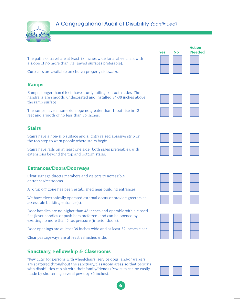

The paths of travel are at least 38 inches wide for a wheelchair, with a slope of no more than 5% (paved surfaces preferable).

Curb cuts are available on church property sidewalks.

#### **Ramps**

Ramps, longer than 6 feet, have sturdy railings on both sides. The handrails are smooth, undecorated and installed 34-38 inches above the ramp surface.

The ramps have a non-skid slope no greater than 1 foot rise in 12 feet and a width of no less than 36 inches.

### **Stairs**

Stairs have a non-slip surface and slightly raised abrasive strip on the top step to warn people where stairs begin.

Stairs have rails on at least one side (both sides preferable), with extensions beyond the top and bottom stairs.

### **Entrances/Doors/Doorways**

Clear signage directs members and visitors to accessible entrances/restrooms.

A "drop off" zone has been established near building entrances.

We have electronically operated external doors or provide greeters at accessible building entrance(s).

Door handles are no higher than 48 inches and operable with a closed fist (lever handles or push bars preferred) and can be opened by exerting no more than 5 lbs pressure (interior doors).

Door openings are at least 36 inches wide and at least 32 inches clear.

Clear passageways are at least 38 inches wide.

### **Sanctuary, Fellowship & Classrooms**

"Pew cuts" for persons with wheelchairs, service dogs, and/or walkers are scattered throughout the sanctuary/classroom areas so that persons with disabilities can sit with their family/friends.(Pew cuts can be easily made by shortening several pews by 36 inches).

6











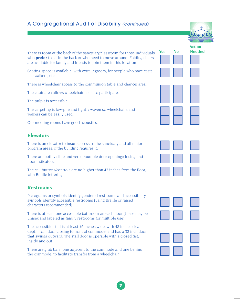

There is room at the back of the sanctuary/classroom for those individuals who **prefer** to sit in the back or who need to move around. Folding chairs are available for family and friends to join them in this location.

Seating space is available, with extra legroom, for people who have casts, use walkers, etc.

There is wheelchair access to the communion table and chancel area.

The choir area allows wheelchair users to participate.

The pulpit is accessible.

The carpeting is low-pile and tightly woven so wheelchairs and walkers can be easily used.

Our meeting rooms have good acoustics.

### **Elevators**

There is an elevator to insure access to the sanctuary and all major program areas, if the building requires it.

There are both visible and verbal/audible door opening/closing and floor indicators.

The call buttons/controls are no higher than 42 inches from the floor, with Braille lettering.

#### **Restrooms**

Pictograms or symbols identify gendered restrooms and accessibility symbols identify accessible restrooms (using Braille or raised characters recommended).

There is at least one accessible bathroom on each floor (these may be unisex and labeled as family restrooms for multiple use).

The accessible stall is at least 36 inches wide, with 48 inches clear depth from door closing to front of commode, and has a 32 inch door that swings outward. The stall door is operable with a closed fist, inside and out.

There are grab bars, one adjacent to the commode and one behind the commode, to facilitate transfer from a wheelchair.











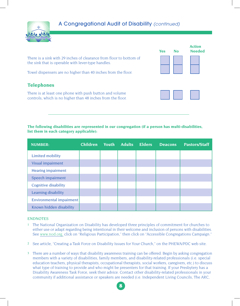

There is a sink with 29 inches of clearance from floor to bottom of the sink that is operable with lever-type handles.

Towel dispensers are no higher than 40 inches from the floor.

### **Telephones**

There is at least one phone with push button and volume controls, which is no higher than 48 inches from the floor.





**The following disabilities are represented in our congregation (if a person has multi-disabilities, list them in each category applicable):**

| <b>NUMBER:</b>              | <b>Children</b> | Youth | <b>Adults</b> | <b>Elders</b> | <b>Deacons</b> | <b>Pastors/Staff</b> |
|-----------------------------|-----------------|-------|---------------|---------------|----------------|----------------------|
| Limited mobility            |                 |       |               |               |                |                      |
| Visual impairment           |                 |       |               |               |                |                      |
| <b>Hearing impairment</b>   |                 |       |               |               |                |                      |
| Speech impairment           |                 |       |               |               |                |                      |
| <b>Cognitive disability</b> |                 |       |               |               |                |                      |
| Learning disability         |                 |       |               |               |                |                      |
| Environmental impairment    |                 |       |               |               |                |                      |
| Known hidden disability     |                 |       |               |               |                |                      |

#### ENDNOTES

- 1 The National Organization on Disability has developed three principles of commitment for churches to either use or adapt regarding being intentional in their welcome and inclusion of persons with disabilities. See www.nod.org, click on "Religious Participation," then click on "Accessible Congregations Campaign."
- <sup>2</sup> See article, "Creating a Task Force on Disability Issues for Your Church," on the PHEWA/PDC web site.
- There are a number of ways that disability awareness training can be offered. Begin by asking congregation 3 members with a variety of disabilities, family members, and disability-related professionals (i.e. special education teachers, physical therapists, occupational therapists, social workers, caregivers, etc.) to discuss what type of training to provide and who might be presenters for that training. If your Presbytery has a Disability Awareness Task Force, seek their advice. Contact other disability-related professionals in your community if additional assistance or speakers are needed (i.e. Independent Living Councils, The ARC,

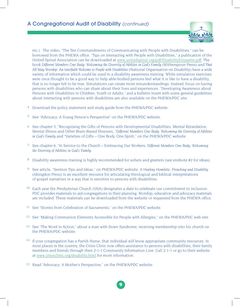

etc.). The video, "The Ten Commandments of Communicating with People with Disabilities," can be borrowed from the PHEWA office. "Tips on Interacting with People with Disabilities," a publication of the United Spinal Association can be downloaded at www.unitedspinal.org/pdf/DisabilityEtiquette.pdf. The book *Different Members One Body: Welcoming the Diversity of Abilities in God's Family (Witherspoon Press) and That All May Worship: An Interfaith Welcome to People with Disabilities* (National Organization on Disability) have a wide variety of information which could be used in a disability awareness training. While simulation exercises were once thought to be a good way to help able-bodied persons feel what it is like to have a disability, that is no longer felt to be true. Simulations can create more misunderstandings. Instead, focus on having persons with disabilities who can share about their lives and experiences. "Developing Awareness about Persons with Disabilities in Children, Youth or Adults," and a bulletin insert with some general guidelines about interacting with persons with disabilities are also available on the PHEWA/PDC site.

- 4 Download the policy statement and study guide from the PHEWA/PDC website.
- <sup>5</sup> See "Advocacy: A Young Person's Perspective" on the PHEWA/PDC website.
- <sup>6</sup> See chapter 3, "Recognizing the Gifts of Persons with Developmental Disabilities, Mental Retardation, Mental Illness and Other Brain-Based Illnesses, *"Different Members One Body: Welcoming the Diversity of Abilities in God's Family* and "Varieties of Gifts – One Body, One Spirit," on the PHEWA/PDC website.
- 7 See chapter 6, "In Service to the Church Embracing Our Workers, Different Members One Body: Welcoming *the Diversity of Abilities in God's Family*.
- <sup>8</sup> Disability awareness training is highly recommended for ushers and greeters (see endnote #2 for ideas).
- <sup>9</sup> See article, "Sermon Tips and Ideas," on PHEWA/PDC website. A Healing Homiletic: Preaching and Disability (Abingdon Press) is an excellent resource for articulating theological and biblical interpretations of gospel narratives in a way that is sensitive to persons with disabilities.
- <sup>10</sup> Each year the Presbyterian Church (USA) designates a date to celebrate our commitment to inclusion. PDC provides materials to aid congregations in their planning. Worship, education and advocacy materials are included. These materials can be downloaded from the website or requested from the PHEWA office.
- 11 See "Stories from Celebration of Sacraments," on the PHEWA/PDC website.
- <sup>12</sup> See "Making Communion Elements Accessible for People with Allergies," on the PHEWA/PDC web site.
- 13 See "The Word in Action," about a man with Down Syndrome, receiving membership into his church on the PHEWA/PDC website.
- <sup>14</sup> If your congregation has a Parish Nurse, that individual will know appropriate community resources. In most places in the country, the Crisis Clinic now offers assistance to persons with disabilities, their family members and friends through their 2-1-1 Community Information Line. Call 2-1-1 or go to their website at www.crisisclinic.org/disability.html for more information.

9

15 Read "Advocacy: A Mother's Perspective," on the PHEWA/PDC website.